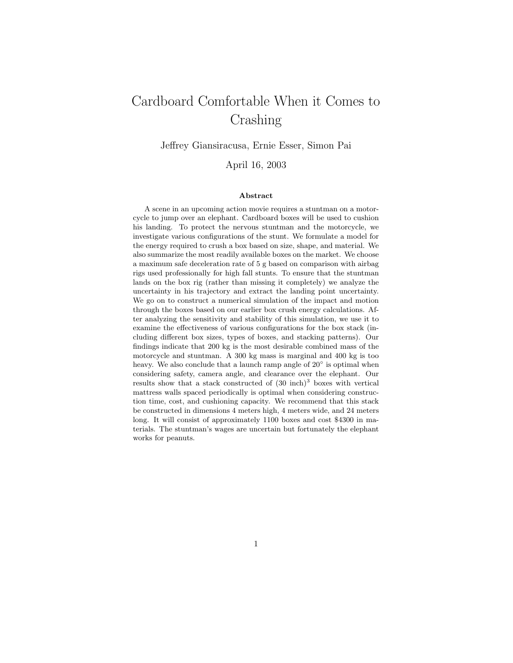# Cardboard Comfortable When it Comes to Crashing

Jeffrey Giansiracusa, Ernie Esser, Simon Pai

April 16, 2003

#### Abstract

A scene in an upcoming action movie requires a stuntman on a motorcycle to jump over an elephant. Cardboard boxes will be used to cushion his landing. To protect the nervous stuntman and the motorcycle, we investigate various configurations of the stunt. We formulate a model for the energy required to crush a box based on size, shape, and material. We also summarize the most readily available boxes on the market. We choose a maximum safe deceleration rate of 5 g based on comparison with airbag rigs used professionally for high fall stunts. To ensure that the stuntman lands on the box rig (rather than missing it completely) we analyze the uncertainty in his trajectory and extract the landing point uncertainty. We go on to construct a numerical simulation of the impact and motion through the boxes based on our earlier box crush energy calculations. After analyzing the sensitivity and stability of this simulation, we use it to examine the effectiveness of various configurations for the box stack (including different box sizes, types of boxes, and stacking patterns). Our findings indicate that 200 kg is the most desirable combined mass of the motorcycle and stuntman. A 300 kg mass is marginal and 400 kg is too heavy. We also conclude that a launch ramp angle of 20° is optimal when considering safety, camera angle, and clearance over the elephant. Our results show that a stack constructed of  $(30 \text{ inch})^3$  boxes with vertical mattress walls spaced periodically is optimal when considering construction time, cost, and cushioning capacity. We recommend that this stack be constructed in dimensions 4 meters high, 4 meters wide, and 24 meters long. It will consist of approximately 1100 boxes and cost \$4300 in materials. The stuntman's wages are uncertain but fortunately the elephant works for peanuts.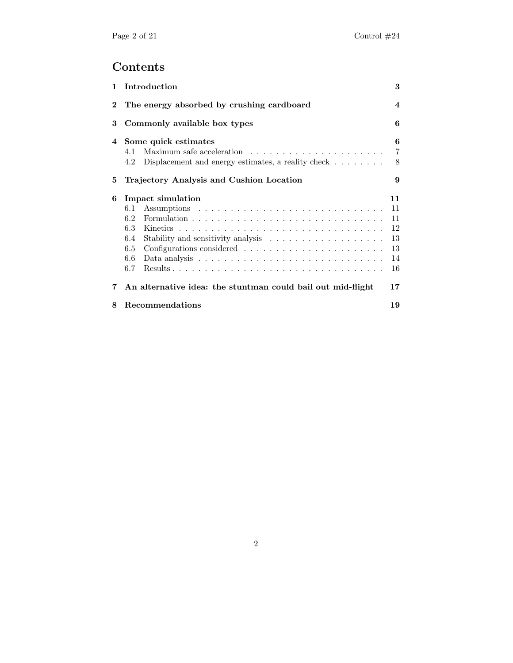# Contents

| $\mathbf{1}$ | Introduction                                                                                                                       | 3                                            |  |  |  |
|--------------|------------------------------------------------------------------------------------------------------------------------------------|----------------------------------------------|--|--|--|
| $\bf{2}$     | The energy absorbed by crushing cardboard                                                                                          |                                              |  |  |  |
| 3            | Commonly available box types                                                                                                       |                                              |  |  |  |
| 4            | Some quick estimates<br>6<br>$\overline{7}$<br>4.1<br>Displacement and energy estimates, a reality check $\dots \dots$<br>8<br>4.2 |                                              |  |  |  |
| 5            | Trajectory Analysis and Cushion Location<br>9                                                                                      |                                              |  |  |  |
| 6            | Impact simulation<br>6.1<br>6.2<br>6.3<br>6.4<br>6.5<br>6.6<br>6.7                                                                 | 11<br>11<br>11<br>12<br>13<br>13<br>14<br>16 |  |  |  |
| 7            | An alternative idea: the stuntman could bail out mid-flight                                                                        | 17                                           |  |  |  |
| 8            | Recommendations                                                                                                                    | 19                                           |  |  |  |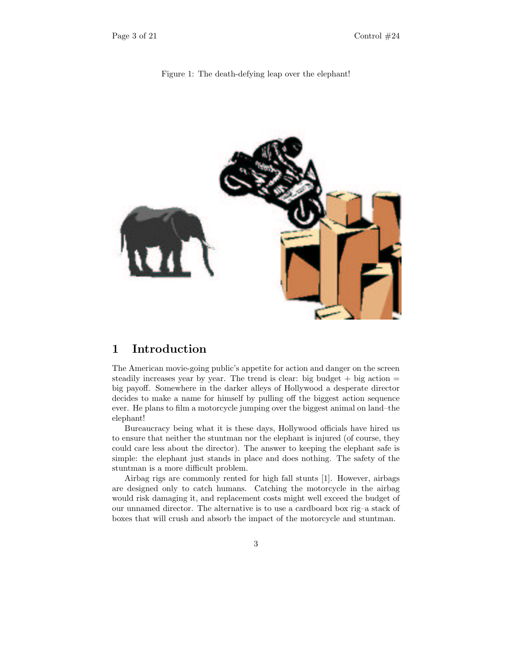



## 1 Introduction

The American movie-going public's appetite for action and danger on the screen steadily increases year by year. The trend is clear: big budget  $+$  big action  $=$ big payoff. Somewhere in the darker alleys of Hollywood a desperate director decides to make a name for himself by pulling off the biggest action sequence ever. He plans to film a motorcycle jumping over the biggest animal on land–the elephant!

Bureaucracy being what it is these days, Hollywood officials have hired us to ensure that neither the stuntman nor the elephant is injured (of course, they could care less about the director). The answer to keeping the elephant safe is simple: the elephant just stands in place and does nothing. The safety of the stuntman is a more difficult problem.

Airbag rigs are commonly rented for high fall stunts [1]. However, airbags are designed only to catch humans. Catching the motorcycle in the airbag would risk damaging it, and replacement costs might well exceed the budget of our unnamed director. The alternative is to use a cardboard box rig–a stack of boxes that will crush and absorb the impact of the motorcycle and stuntman.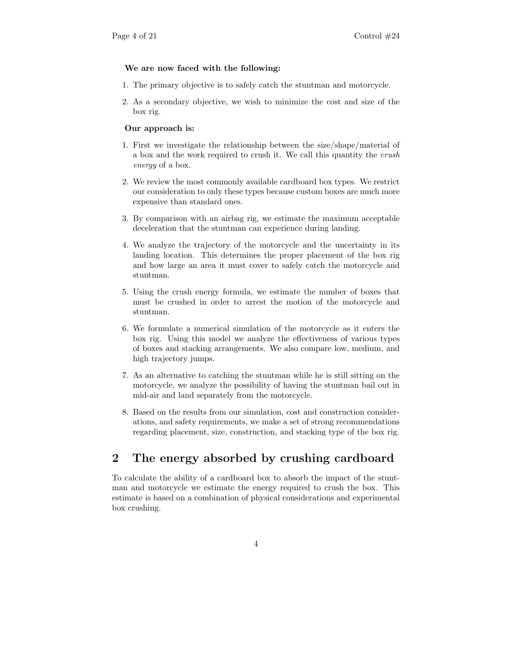#### We are now faced with the following:

- 1. The primary objective is to safely catch the stuntman and motorcycle.
- 2. As a secondary objective, we wish to minimize the cost and size of the box rig.

#### Our approach is:

- 1. First we investigate the relationship between the size/shape/material of a box and the work required to crush it. We call this quantity the crush energy of a box.
- 2. We review the most commonly available cardboard box types. We restrict our consideration to only these types because custom boxes are much more expensive than standard ones.
- 3. By comparison with an airbag rig, we estimate the maximum acceptable deceleration that the stuntman can experience during landing.
- 4. We analyze the trajectory of the motorcycle and the uncertainty in its landing location. This determines the proper placement of the box rig and how large an area it must cover to safely catch the motorcycle and stuntman.
- 5. Using the crush energy formula, we estimate the number of boxes that must be crushed in order to arrest the motion of the motorcycle and stuntman.
- 6. We formulate a numerical simulation of the motorcycle as it enters the box rig. Using this model we analyze the effectiveness of various types of boxes and stacking arrangements. We also compare low, medium, and high trajectory jumps.
- 7. As an alternative to catching the stuntman while he is still sitting on the motorcycle, we analyze the possibility of having the stuntman bail out in mid-air and land separately from the motorcycle.
- 8. Based on the results from our simulation, cost and construction considerations, and safety requirements, we make a set of strong recommendations regarding placement, size, construction, and stacking type of the box rig.

## 2 The energy absorbed by crushing cardboard

To calculate the ability of a cardboard box to absorb the impact of the stuntman and motorcycle we estimate the energy required to crush the box. This estimate is based on a combination of physical considerations and experimental box crushing.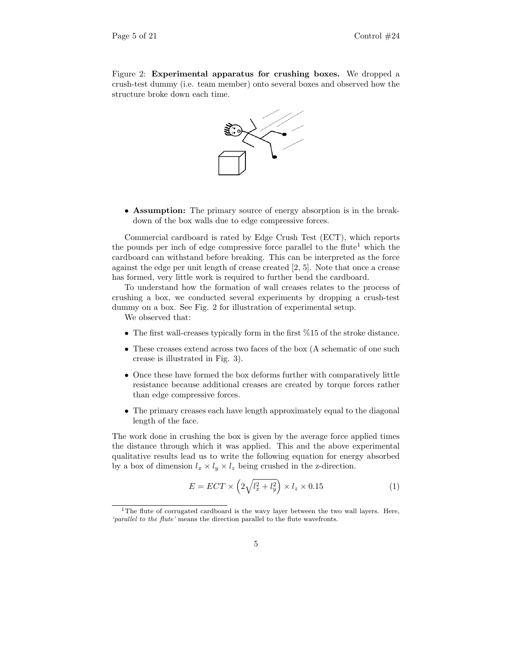Figure 2: Experimental apparatus for crushing boxes. We dropped a crush-test dummy (i.e. team member) onto several boxes and observed how the structure broke down each time.



• Assumption: The primary source of energy absorption is in the breakdown of the box walls due to edge compressive forces.

Commercial cardboard is rated by Edge Crush Test (ECT), which reports the pounds per inch of edge compressive force parallel to the flute<sup>1</sup> which the cardboard can withstand before breaking. This can be interpreted as the force against the edge per unit length of crease created [2, 5]. Note that once a crease has formed, very little work is required to further bend the cardboard.

To understand how the formation of wall creases relates to the process of crushing a box, we conducted several experiments by dropping a crush-test dummy on a box. See Fig. 2 for illustration of experimental setup.

We observed that:

- The first wall-creases typically form in the first %15 of the stroke distance.
- These creases extend across two faces of the box (A schematic of one such crease is illustrated in Fig. 3).
- Once these have formed the box deforms further with comparatively little resistance because additional creases are created by torque forces rather than edge compressive forces.
- The primary creases each have length approximately equal to the diagonal length of the face.

The work done in crushing the box is given by the average force applied times the distance through which it was applied. This and the above experimental qualitative results lead us to write the following equation for energy absorbed by a box of dimension  $l_x \times l_y \times l_z$  being crushed in the z-direction.

$$
E = ECT \times \left(2\sqrt{l_x^2 + l_y^2}\right) \times l_z \times 0.15\tag{1}
$$

<sup>&</sup>lt;sup>1</sup>The flute of corrugated cardboard is the wavy layer between the two wall layers. Here, 'parallel to the flute' means the direction parallel to the flute wavefronts.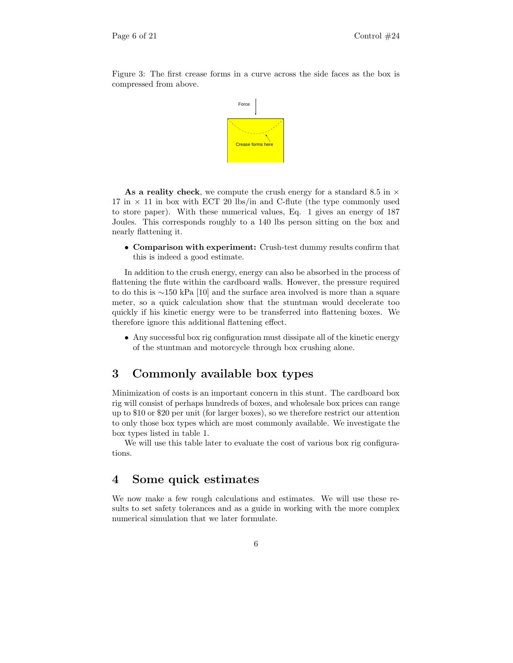Figure 3: The first crease forms in a curve across the side faces as the box is compressed from above.



As a reality check, we compute the crush energy for a standard 8.5 in  $\times$ 17 in  $\times$  11 in box with ECT 20 lbs/in and C-flute (the type commonly used to store paper). With these numerical values, Eq. 1 gives an energy of 187 Joules. This corresponds roughly to a 140 lbs person sitting on the box and nearly flattening it.

• Comparison with experiment: Crush-test dummy results confirm that this is indeed a good estimate.

In addition to the crush energy, energy can also be absorbed in the process of flattening the flute within the cardboard walls. However, the pressure required to do this is ∼150 kPa [10] and the surface area involved is more than a square meter, so a quick calculation show that the stuntman would decelerate too quickly if his kinetic energy were to be transferred into flattening boxes. We therefore ignore this additional flattening effect.

• Any successful box rig configuration must dissipate all of the kinetic energy of the stuntman and motorcycle through box crushing alone.

## 3 Commonly available box types

Minimization of costs is an important concern in this stunt. The cardboard box rig will consist of perhaps hundreds of boxes, and wholesale box prices can range up to \$10 or \$20 per unit (for larger boxes), so we therefore restrict our attention to only those box types which are most commonly available. We investigate the box types listed in table 1.

We will use this table later to evaluate the cost of various box rig configurations.

## 4 Some quick estimates

We now make a few rough calculations and estimates. We will use these results to set safety tolerances and as a guide in working with the more complex numerical simulation that we later formulate.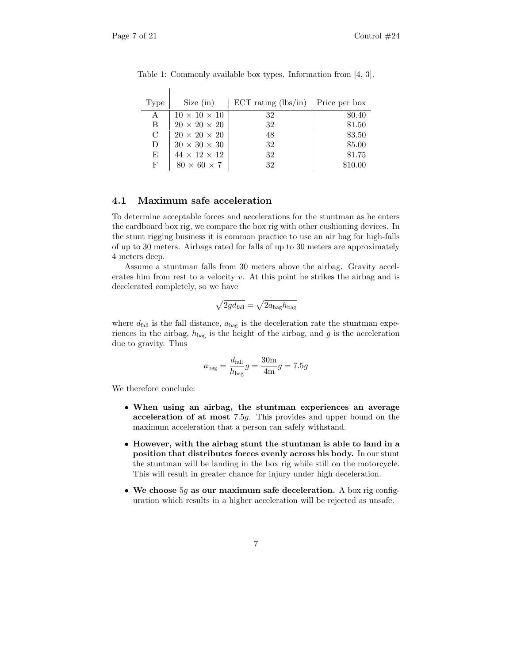| Type | Size (in)                | ECT rating $(lbs/in)$ Price per box |         |
|------|--------------------------|-------------------------------------|---------|
| A    | $10 \times 10 \times 10$ | 32                                  | \$0.40  |
| B    | $20 \times 20 \times 20$ | 32                                  | \$1.50  |
| C    | $20 \times 20 \times 20$ | 48                                  | \$3.50  |
| D    | $30 \times 30 \times 30$ | 32                                  | \$5.00  |
| E    | $44 \times 12 \times 12$ | 32                                  | \$1.75  |
| F    | $80 \times 60 \times 7$  | 32                                  | \$10.00 |

Table 1: Commonly available box types. Information from [4, 3].

#### 4.1 Maximum safe acceleration

 $\overline{\phantom{a}}$ 

To determine acceptable forces and accelerations for the stuntman as he enters the cardboard box rig, we compare the box rig with other cushioning devices. In the stunt rigging business it is common practice to use an air bag for high-falls of up to 30 meters. Airbags rated for falls of up to 30 meters are approximately 4 meters deep.

Assume a stuntman falls from 30 meters above the airbag. Gravity accelerates him from rest to a velocity  $v$ . At this point he strikes the airbag and is decelerated completely, so we have

$$
\sqrt{2gd_{\rm fall}}=\sqrt{2a_{\rm bag}h_{\rm bag}}
$$

where  $d_{fall}$  is the fall distance,  $a_{bag}$  is the deceleration rate the stuntman experiences in the airbag,  $h_{\text{bag}}$  is the height of the airbag, and g is the acceleration due to gravity. Thus

$$
a_{\text{bag}} = \frac{d_{\text{fall}}}{h_{\text{bag}}}g = \frac{30\text{m}}{4\text{m}}g = 7.5g
$$

We therefore conclude:

- When using an airbag, the stuntman experiences an average acceleration of at most 7.5g. This provides and upper bound on the maximum acceleration that a person can safely withstand.
- However, with the airbag stunt the stuntman is able to land in a position that distributes forces evenly across his body. In our stunt the stuntman will be landing in the box rig while still on the motorcycle. This will result in greater chance for injury under high deceleration.
- We choose  $5g$  as our maximum safe deceleration. A box rig configuration which results in a higher acceleration will be rejected as unsafe.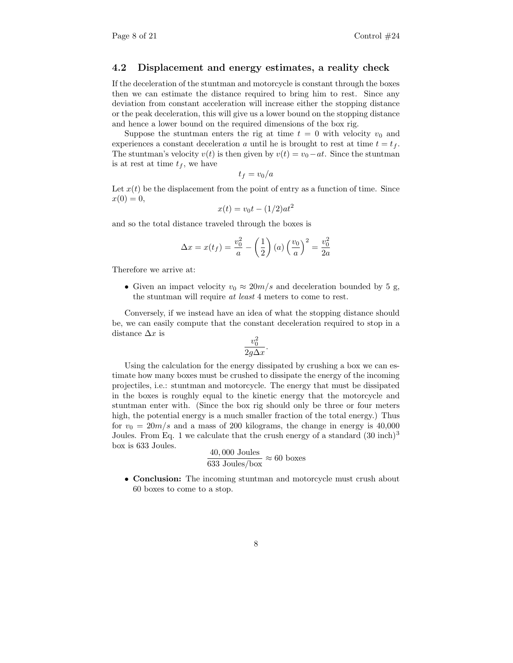#### 4.2 Displacement and energy estimates, a reality check

If the deceleration of the stuntman and motorcycle is constant through the boxes then we can estimate the distance required to bring him to rest. Since any deviation from constant acceleration will increase either the stopping distance or the peak deceleration, this will give us a lower bound on the stopping distance and hence a lower bound on the required dimensions of the box rig.

Suppose the stuntman enters the rig at time  $t = 0$  with velocity  $v_0$  and experiences a constant deceleration a until he is brought to rest at time  $t = t_f$ . The stuntman's velocity  $v(t)$  is then given by  $v(t) = v_0 - at$ . Since the stuntman is at rest at time  $t_f$ , we have

$$
t_f = v_0/a
$$

Let  $x(t)$  be the displacement from the point of entry as a function of time. Since  $x(0) = 0,$ 

$$
x(t) = v_0 t - (1/2) a t^2
$$

and so the total distance traveled through the boxes is

$$
\Delta x = x(t_f) = \frac{v_0^2}{a} - \left(\frac{1}{2}\right)(a)\left(\frac{v_0}{a}\right)^2 = \frac{v_0^2}{2a}
$$

Therefore we arrive at:

• Given an impact velocity  $v_0 \approx 20m/s$  and deceleration bounded by 5 g, the stuntman will require at least 4 meters to come to rest.

Conversely, if we instead have an idea of what the stopping distance should be, we can easily compute that the constant deceleration required to stop in a distance  $\Delta x$  is

$$
\frac{v_0^2}{2g\Delta x}.
$$

Using the calculation for the energy dissipated by crushing a box we can estimate how many boxes must be crushed to dissipate the energy of the incoming projectiles, i.e.: stuntman and motorcycle. The energy that must be dissipated in the boxes is roughly equal to the kinetic energy that the motorcycle and stuntman enter with. (Since the box rig should only be three or four meters high, the potential energy is a much smaller fraction of the total energy.) Thus for  $v_0 = 20m/s$  and a mass of 200 kilograms, the change in energy is 40,000 Joules. From Eq. 1 we calculate that the crush energy of a standard  $(30 \text{ inch})^3$ box is 633 Joules.

$$
\frac{40,000 \text{ Joules}}{633 \text{ Joules}/\text{box}} \approx 60 \text{ boxes}
$$

• Conclusion: The incoming stuntman and motorcycle must crush about 60 boxes to come to a stop.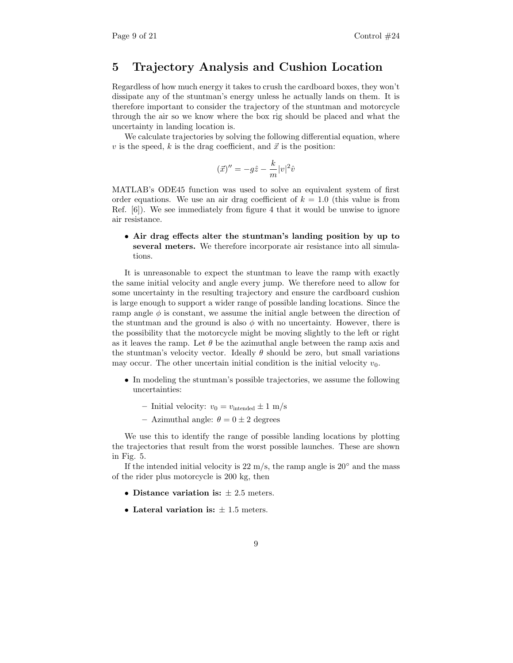## 5 Trajectory Analysis and Cushion Location

Regardless of how much energy it takes to crush the cardboard boxes, they won't dissipate any of the stuntman's energy unless he actually lands on them. It is therefore important to consider the trajectory of the stuntman and motorcycle through the air so we know where the box rig should be placed and what the uncertainty in landing location is.

We calculate trajectories by solving the following differential equation, where v is the speed, k is the drag coefficient, and  $\vec{x}$  is the position:

$$
(\vec{x})'' = -g\hat{z} - \frac{k}{m}|v|^2\hat{v}
$$

MATLAB's ODE45 function was used to solve an equivalent system of first order equations. We use an air drag coefficient of  $k = 1.0$  (this value is from Ref. [6]). We see immediately from figure 4 that it would be unwise to ignore air resistance.

• Air drag effects alter the stuntman's landing position by up to several meters. We therefore incorporate air resistance into all simulations.

It is unreasonable to expect the stuntman to leave the ramp with exactly the same initial velocity and angle every jump. We therefore need to allow for some uncertainty in the resulting trajectory and ensure the cardboard cushion is large enough to support a wider range of possible landing locations. Since the ramp angle  $\phi$  is constant, we assume the initial angle between the direction of the stuntman and the ground is also  $\phi$  with no uncertainty. However, there is the possibility that the motorcycle might be moving slightly to the left or right as it leaves the ramp. Let  $\theta$  be the azimuthal angle between the ramp axis and the stuntman's velocity vector. Ideally  $\theta$  should be zero, but small variations may occur. The other uncertain initial condition is the initial velocity  $v_0$ .

- In modeling the stuntman's possible trajectories, we assume the following uncertainties:
	- Initial velocity:  $v_0 = v_{\text{intended}} \pm 1 \text{ m/s}$
	- Azimuthal angle:  $\theta = 0 \pm 2$  degrees

We use this to identify the range of possible landing locations by plotting the trajectories that result from the worst possible launches. These are shown in Fig. 5.

If the intended initial velocity is 22 m/s, the ramp angle is  $20°$  and the mass of the rider plus motorcycle is 200 kg, then

- Distance variation is:  $\pm 2.5$  meters.
- Lateral variation is:  $\pm$  1.5 meters.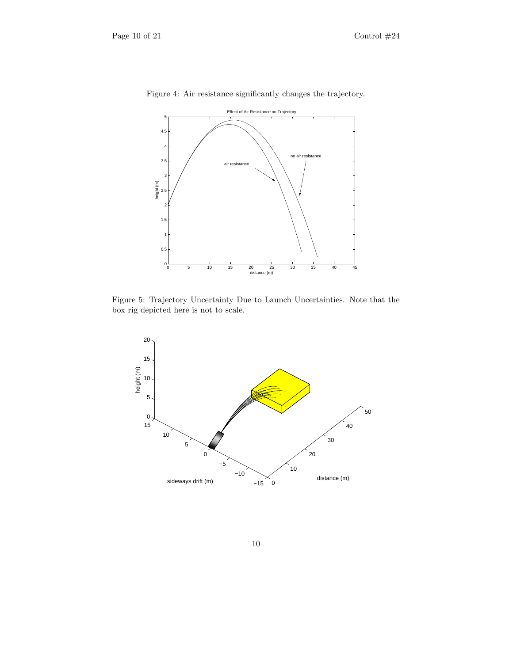

Figure 4: Air resistance significantly changes the trajectory.

Figure 5: Trajectory Uncertainty Due to Launch Uncertainties. Note that the box rig depicted here is not to scale.

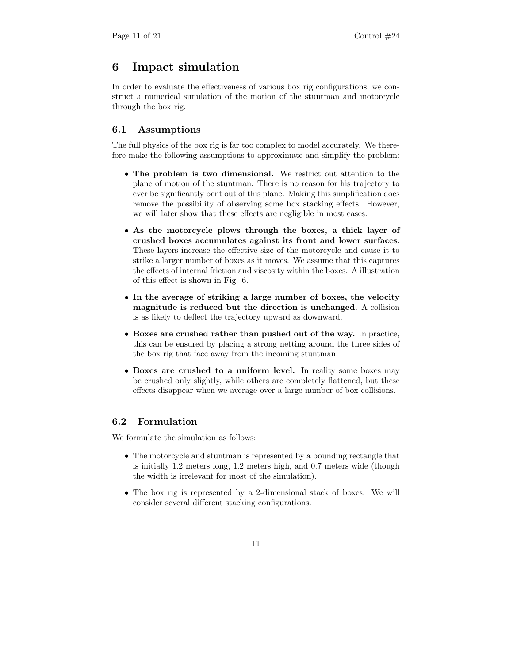## 6 Impact simulation

In order to evaluate the effectiveness of various box rig configurations, we construct a numerical simulation of the motion of the stuntman and motorcycle through the box rig.

## 6.1 Assumptions

The full physics of the box rig is far too complex to model accurately. We therefore make the following assumptions to approximate and simplify the problem:

- The problem is two dimensional. We restrict out attention to the plane of motion of the stuntman. There is no reason for his trajectory to ever be significantly bent out of this plane. Making this simplification does remove the possibility of observing some box stacking effects. However, we will later show that these effects are negligible in most cases.
- As the motorcycle plows through the boxes, a thick layer of crushed boxes accumulates against its front and lower surfaces. These layers increase the effective size of the motorcycle and cause it to strike a larger number of boxes as it moves. We assume that this captures the effects of internal friction and viscosity within the boxes. A illustration of this effect is shown in Fig. 6.
- In the average of striking a large number of boxes, the velocity magnitude is reduced but the direction is unchanged. A collision is as likely to deflect the trajectory upward as downward.
- Boxes are crushed rather than pushed out of the way. In practice, this can be ensured by placing a strong netting around the three sides of the box rig that face away from the incoming stuntman.
- Boxes are crushed to a uniform level. In reality some boxes may be crushed only slightly, while others are completely flattened, but these effects disappear when we average over a large number of box collisions.

## 6.2 Formulation

We formulate the simulation as follows:

- The motorcycle and stuntman is represented by a bounding rectangle that is initially 1.2 meters long, 1.2 meters high, and 0.7 meters wide (though the width is irrelevant for most of the simulation).
- The box rig is represented by a 2-dimensional stack of boxes. We will consider several different stacking configurations.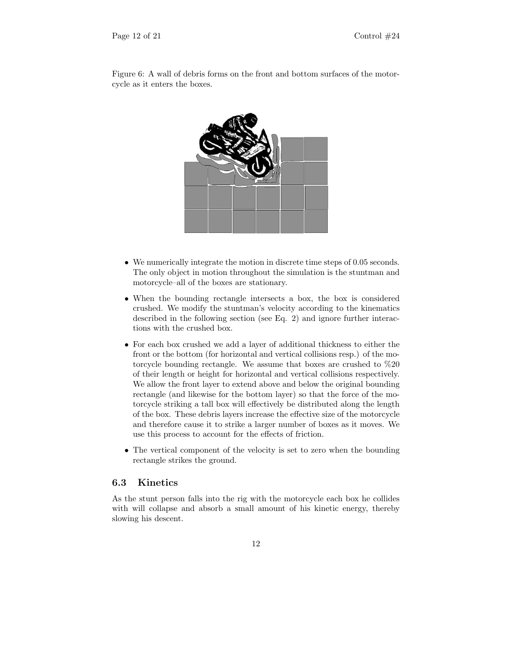

Figure 6: A wall of debris forms on the front and bottom surfaces of the motorcycle as it enters the boxes.

- We numerically integrate the motion in discrete time steps of 0.05 seconds. The only object in motion throughout the simulation is the stuntman and motorcycle–all of the boxes are stationary.
- When the bounding rectangle intersects a box, the box is considered crushed. We modify the stuntman's velocity according to the kinematics described in the following section (see Eq. 2) and ignore further interactions with the crushed box.
- For each box crushed we add a layer of additional thickness to either the front or the bottom (for horizontal and vertical collisions resp.) of the motorcycle bounding rectangle. We assume that boxes are crushed to %20 of their length or height for horizontal and vertical collisions respectively. We allow the front layer to extend above and below the original bounding rectangle (and likewise for the bottom layer) so that the force of the motorcycle striking a tall box will effectively be distributed along the length of the box. These debris layers increase the effective size of the motorcycle and therefore cause it to strike a larger number of boxes as it moves. We use this process to account for the effects of friction.
- The vertical component of the velocity is set to zero when the bounding rectangle strikes the ground.

## 6.3 Kinetics

As the stunt person falls into the rig with the motorcycle each box he collides with will collapse and absorb a small amount of his kinetic energy, thereby slowing his descent.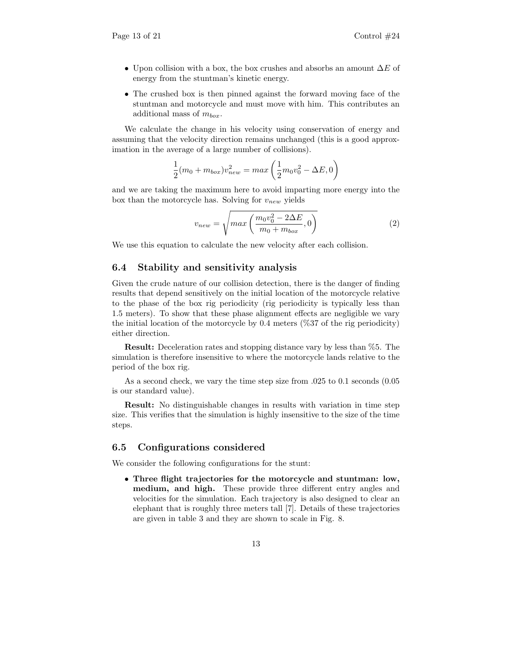- Upon collision with a box, the box crushes and absorbs an amount  $\Delta E$  of energy from the stuntman's kinetic energy.
- The crushed box is then pinned against the forward moving face of the stuntman and motorcycle and must move with him. This contributes an additional mass of  $m_{box}$ .

We calculate the change in his velocity using conservation of energy and assuming that the velocity direction remains unchanged (this is a good approximation in the average of a large number of collisions).

$$
\frac{1}{2}(m_0 + m_{box})v_{new}^2 = max\left(\frac{1}{2}m_0v_0^2 - \Delta E, 0\right)
$$

and we are taking the maximum here to avoid imparting more energy into the box than the motorcycle has. Solving for  $v_{new}$  yields

$$
v_{new} = \sqrt{max\left(\frac{m_0 v_0^2 - 2\Delta E}{m_0 + m_{box}}, 0\right)}
$$
(2)

We use this equation to calculate the new velocity after each collision.

## 6.4 Stability and sensitivity analysis

Given the crude nature of our collision detection, there is the danger of finding results that depend sensitively on the initial location of the motorcycle relative to the phase of the box rig periodicity (rig periodicity is typically less than 1.5 meters). To show that these phase alignment effects are negligible we vary the initial location of the motorcycle by 0.4 meters  $(\%37)$  of the rig periodicity) either direction.

Result: Deceleration rates and stopping distance vary by less than %5. The simulation is therefore insensitive to where the motorcycle lands relative to the period of the box rig.

As a second check, we vary the time step size from .025 to 0.1 seconds (0.05 is our standard value).

Result: No distinguishable changes in results with variation in time step size. This verifies that the simulation is highly insensitive to the size of the time steps.

#### 6.5 Configurations considered

We consider the following configurations for the stunt:

• Three flight trajectories for the motorcycle and stuntman: low, medium, and high. These provide three different entry angles and velocities for the simulation. Each trajectory is also designed to clear an elephant that is roughly three meters tall [7]. Details of these trajectories are given in table 3 and they are shown to scale in Fig. 8.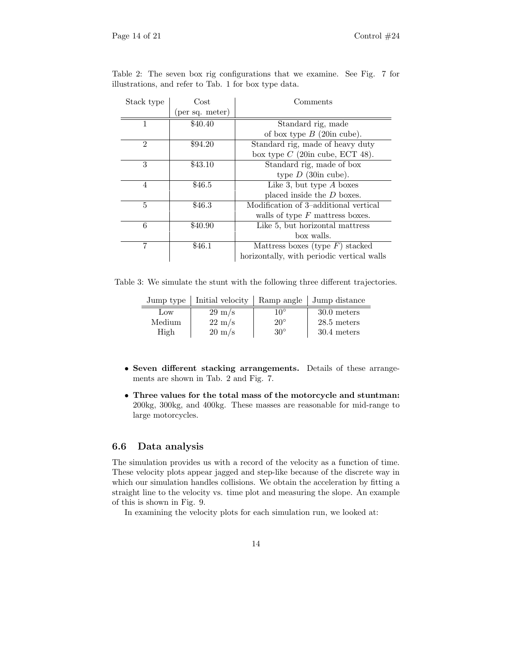| Stack type     | Cost            | Comments                                   |  |
|----------------|-----------------|--------------------------------------------|--|
|                | (per sq. meter) |                                            |  |
|                | \$40.40         | Standard rig, made                         |  |
|                |                 | of box type $B$ (20in cube).               |  |
| $\overline{2}$ | \$94.20         | Standard rig, made of heavy duty           |  |
|                |                 | box type $C$ (20in cube, ECT 48).          |  |
| 3              | \$43.10         | Standard rig, made of box                  |  |
|                |                 | type $D$ (30in cube).                      |  |
| 4              | \$46.5          | Like 3, but type $A$ boxes                 |  |
|                |                 | placed inside the $D$ boxes.               |  |
| 5              | \$46.3          | Modification of 3-additional vertical      |  |
|                |                 | walls of type $F$ mattress boxes.          |  |
| 6              | \$40.90         | Like 5, but horizontal mattress            |  |
|                |                 | box walls.                                 |  |
|                | \$46.1          | Mattress boxes (type $F$ ) stacked         |  |
|                |                 | horizontally, with periodic vertical walls |  |

Table 2: The seven box rig configurations that we examine. See Fig. 7 for illustrations, and refer to Tab. 1 for box type data.

Table 3: We simulate the stunt with the following three different trajectories.

| Jump type | Initial velocity |              | Ramp angle   Jump distance |
|-----------|------------------|--------------|----------------------------|
| Low       | $29 \text{ m/s}$ | $10^{\circ}$ | 30.0 meters                |
| Medium    | $22 \text{ m/s}$ | $20^{\circ}$ | $28.5$ meters              |
| High      | $20 \text{ m/s}$ | $30^{\circ}$ | 30.4 meters                |

- Seven different stacking arrangements. Details of these arrangements are shown in Tab. 2 and Fig. 7.
- Three values for the total mass of the motorcycle and stuntman: 200kg, 300kg, and 400kg. These masses are reasonable for mid-range to large motorcycles.

### 6.6 Data analysis

The simulation provides us with a record of the velocity as a function of time. These velocity plots appear jagged and step-like because of the discrete way in which our simulation handles collisions. We obtain the acceleration by fitting a straight line to the velocity vs. time plot and measuring the slope. An example of this is shown in Fig. 9.

In examining the velocity plots for each simulation run, we looked at: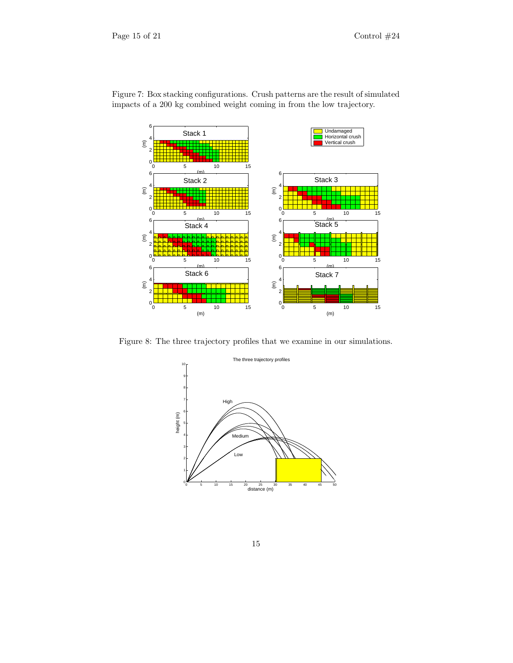

Figure 7: Box stacking configurations. Crush patterns are the result of simulated impacts of a 200 kg combined weight coming in from the low trajectory.

Figure 8: The three trajectory profiles that we examine in our simulations.

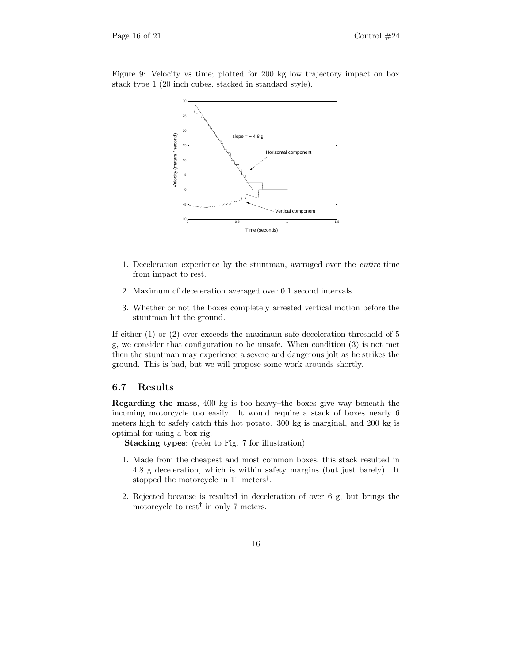Figure 9: Velocity vs time; plotted for 200 kg low trajectory impact on box stack type 1 (20 inch cubes, stacked in standard style).



- 1. Deceleration experience by the stuntman, averaged over the entire time from impact to rest.
- 2. Maximum of deceleration averaged over 0.1 second intervals.
- 3. Whether or not the boxes completely arrested vertical motion before the stuntman hit the ground.

If either (1) or (2) ever exceeds the maximum safe deceleration threshold of 5 g, we consider that configuration to be unsafe. When condition (3) is not met then the stuntman may experience a severe and dangerous jolt as he strikes the ground. This is bad, but we will propose some work arounds shortly.

#### 6.7 Results

Regarding the mass, 400 kg is too heavy–the boxes give way beneath the incoming motorcycle too easily. It would require a stack of boxes nearly 6 meters high to safely catch this hot potato. 300 kg is marginal, and 200 kg is optimal for using a box rig.

Stacking types: (refer to Fig. 7 for illustration)

- 1. Made from the cheapest and most common boxes, this stack resulted in 4.8 g deceleration, which is within safety margins (but just barely). It stopped the motorcycle in 11 meters† .
- 2. Rejected because is resulted in deceleration of over 6 g, but brings the motorcycle to rest† in only 7 meters.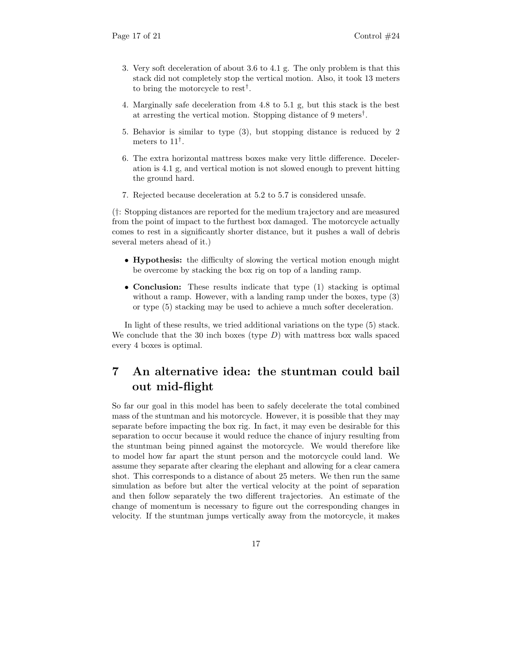- 3. Very soft deceleration of about 3.6 to 4.1 g. The only problem is that this stack did not completely stop the vertical motion. Also, it took 13 meters to bring the motorcycle to rest† .
- 4. Marginally safe deceleration from 4.8 to 5.1 g, but this stack is the best at arresting the vertical motion. Stopping distance of 9 meters† .
- 5. Behavior is similar to type (3), but stopping distance is reduced by 2 meters to 11† .
- 6. The extra horizontal mattress boxes make very little difference. Deceleration is 4.1 g, and vertical motion is not slowed enough to prevent hitting the ground hard.
- 7. Rejected because deceleration at 5.2 to 5.7 is considered unsafe.

(†: Stopping distances are reported for the medium trajectory and are measured from the point of impact to the furthest box damaged. The motorcycle actually comes to rest in a significantly shorter distance, but it pushes a wall of debris several meters ahead of it.)

- Hypothesis: the difficulty of slowing the vertical motion enough might be overcome by stacking the box rig on top of a landing ramp.
- **Conclusion:** These results indicate that type (1) stacking is optimal without a ramp. However, with a landing ramp under the boxes, type (3) or type (5) stacking may be used to achieve a much softer deceleration.

In light of these results, we tried additional variations on the type (5) stack. We conclude that the 30 inch boxes (type  $D$ ) with mattress box walls spaced every 4 boxes is optimal.

## 7 An alternative idea: the stuntman could bail out mid-flight

So far our goal in this model has been to safely decelerate the total combined mass of the stuntman and his motorcycle. However, it is possible that they may separate before impacting the box rig. In fact, it may even be desirable for this separation to occur because it would reduce the chance of injury resulting from the stuntman being pinned against the motorcycle. We would therefore like to model how far apart the stunt person and the motorcycle could land. We assume they separate after clearing the elephant and allowing for a clear camera shot. This corresponds to a distance of about 25 meters. We then run the same simulation as before but alter the vertical velocity at the point of separation and then follow separately the two different trajectories. An estimate of the change of momentum is necessary to figure out the corresponding changes in velocity. If the stuntman jumps vertically away from the motorcycle, it makes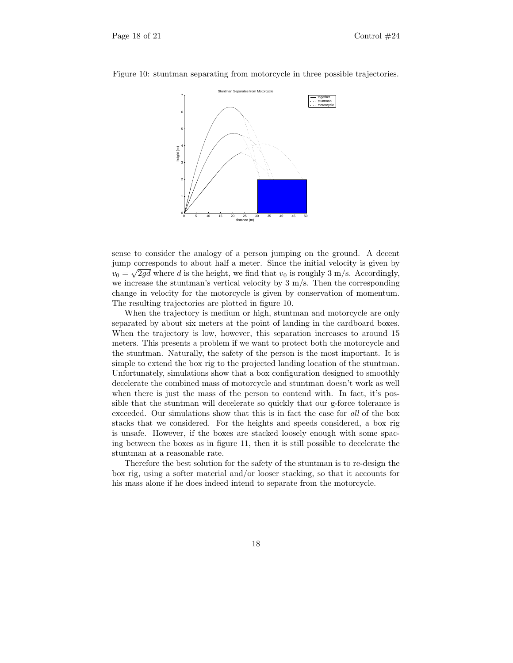

Figure 10: stuntman separating from motorcycle in three possible trajectories.

sense to consider the analogy of a person jumping on the ground. A decent jump corresponds to about half a meter. Since the initial velocity is given by  $v_0 = \sqrt{2gd}$  where d is the height, we find that  $v_0$  is roughly 3 m/s. Accordingly, we increase the stuntman's vertical velocity by  $3 \text{ m/s}$ . Then the corresponding change in velocity for the motorcycle is given by conservation of momentum. The resulting trajectories are plotted in figure 10.

When the trajectory is medium or high, stuntman and motorcycle are only separated by about six meters at the point of landing in the cardboard boxes. When the trajectory is low, however, this separation increases to around 15 meters. This presents a problem if we want to protect both the motorcycle and the stuntman. Naturally, the safety of the person is the most important. It is simple to extend the box rig to the projected landing location of the stuntman. Unfortunately, simulations show that a box configuration designed to smoothly decelerate the combined mass of motorcycle and stuntman doesn't work as well when there is just the mass of the person to contend with. In fact, it's possible that the stuntman will decelerate so quickly that our g-force tolerance is exceeded. Our simulations show that this is in fact the case for all of the box stacks that we considered. For the heights and speeds considered, a box rig is unsafe. However, if the boxes are stacked loosely enough with some spacing between the boxes as in figure 11, then it is still possible to decelerate the stuntman at a reasonable rate.

Therefore the best solution for the safety of the stuntman is to re-design the box rig, using a softer material and/or looser stacking, so that it accounts for his mass alone if he does indeed intend to separate from the motorcycle.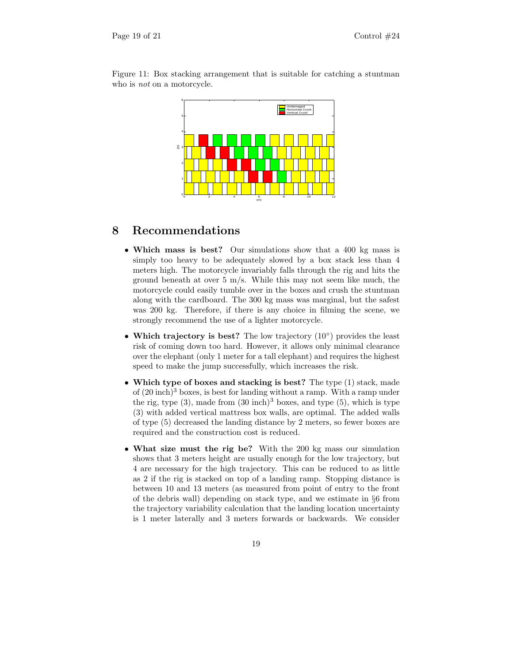

Figure 11: Box stacking arrangement that is suitable for catching a stuntman who is *not* on a motorcycle.

## 8 Recommendations

- Which mass is best? Our simulations show that a 400 kg mass is simply too heavy to be adequately slowed by a box stack less than 4 meters high. The motorcycle invariably falls through the rig and hits the ground beneath at over  $5 \text{ m/s}$ . While this may not seem like much, the motorcycle could easily tumble over in the boxes and crush the stuntman along with the cardboard. The 300 kg mass was marginal, but the safest was 200 kg. Therefore, if there is any choice in filming the scene, we strongly recommend the use of a lighter motorcycle.
- Which trajectory is best? The low trajectory (10◦ ) provides the least risk of coming down too hard. However, it allows only minimal clearance over the elephant (only 1 meter for a tall elephant) and requires the highest speed to make the jump successfully, which increases the risk.
- Which type of boxes and stacking is best? The type (1) stack, made of  $(20 \text{ inch})^3$  boxes, is best for landing without a ramp. With a ramp under the rig, type  $(3)$ , made from  $(30 \text{ inch})^3$  boxes, and type  $(5)$ , which is type (3) with added vertical mattress box walls, are optimal. The added walls of type (5) decreased the landing distance by 2 meters, so fewer boxes are required and the construction cost is reduced.
- What size must the rig be? With the 200 kg mass our simulation shows that 3 meters height are usually enough for the low trajectory, but 4 are necessary for the high trajectory. This can be reduced to as little as 2 if the rig is stacked on top of a landing ramp. Stopping distance is between 10 and 13 meters (as measured from point of entry to the front of the debris wall) depending on stack type, and we estimate in §6 from the trajectory variability calculation that the landing location uncertainty is 1 meter laterally and 3 meters forwards or backwards. We consider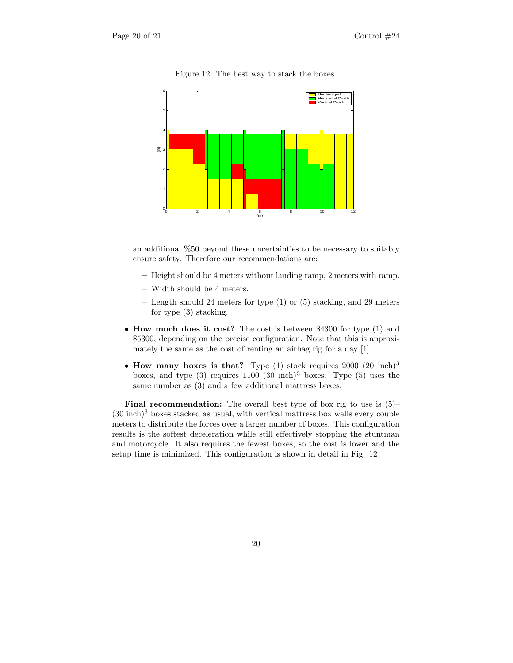

Figure 12: The best way to stack the boxes.

an additional %50 beyond these uncertainties to be necessary to suitably ensure safety. Therefore our recommendations are:

- Height should be 4 meters without landing ramp, 2 meters with ramp.
- Width should be 4 meters.
- Length should 24 meters for type (1) or (5) stacking, and 29 meters for type (3) stacking.
- How much does it cost? The cost is between \$4300 for type (1) and \$5300, depending on the precise configuration. Note that this is approximately the same as the cost of renting an airbag rig for a day [1].
- How many boxes is that? Type  $(1)$  stack requires 2000  $(20 \text{ inch})^3$ boxes, and type  $(3)$  requires  $1100$   $(30 \text{ inch})^3$  boxes. Type  $(5)$  uses the same number as (3) and a few additional mattress boxes.

**Final recommendation:** The overall best type of box rig to use is  $(5)$ - $(30 \text{ inch})^3$  boxes stacked as usual, with vertical mattress box walls every couple meters to distribute the forces over a larger number of boxes. This configuration results is the softest deceleration while still effectively stopping the stuntman and motorcycle. It also requires the fewest boxes, so the cost is lower and the setup time is minimized. This configuration is shown in detail in Fig. 12